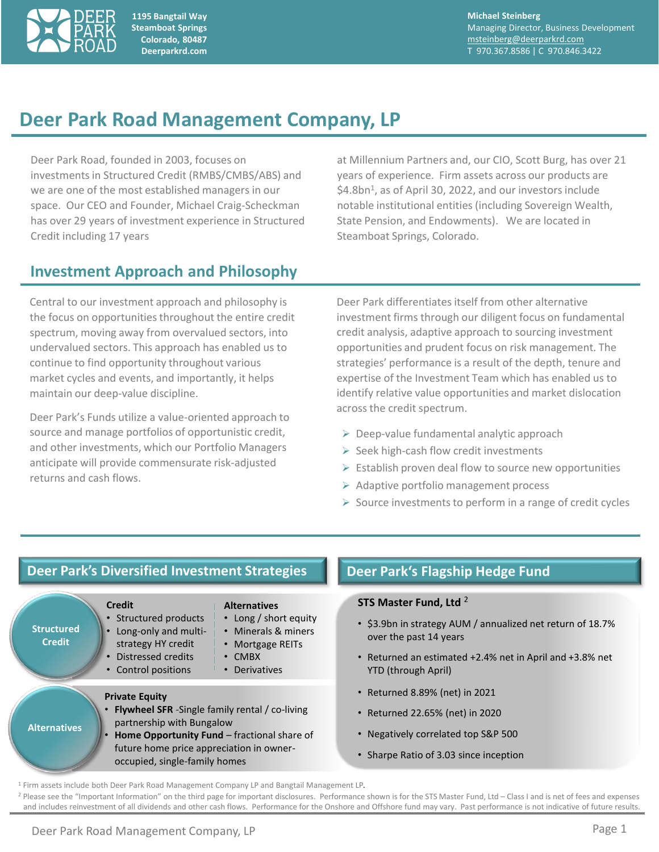

**1195 Bangtail Way Steamboat Springs Colorado, 80487 Deerparkrd.com**

**Michael Steinberg** Managing Director, Business Development [msteinberg@deerparkrd.com](mailto:msteinberg@deerparkrd.com) T 970.367.8586 | C 970.846.3422

# **Deer Park Road Management Company, LP**

Deer Park Road, founded in 2003, focuses on investments in Structured Credit (RMBS/CMBS/ABS) and we are one of the most established managers in our space. Our CEO and Founder, Michael Craig-Scheckman has over 29 years of investment experience in Structured Credit including 17 years

at Millennium Partners and, our CIO, Scott Burg, has over 21 years of experience. Firm assets across our products are \$4.8bn<sup>1</sup>, as of April 30, 2022, and our investors include notable institutional entities (including Sovereign Wealth, State Pension, and Endowments). We are located in Steamboat Springs, Colorado.

## **Investment Approach and Philosophy**

Central to our investment approach and philosophy is the focus on opportunities throughout the entire credit spectrum, moving away from overvalued sectors, into undervalued sectors. This approach has enabled us to continue to find opportunity throughout various market cycles and events, and importantly, it helps maintain our deep-value discipline.

Deer Park's Funds utilize a value-oriented approach to source and manage portfolios of opportunistic credit, and other investments, which our Portfolio Managers anticipate will provide commensurate risk-adjusted returns and cash flows.

Deer Park differentiates itself from other alternative investment firms through our diligent focus on fundamental credit analysis, adaptive approach to sourcing investment opportunities and prudent focus on risk management. The strategies' performance is a result of the depth, tenure and expertise of the Investment Team which has enabled us to identify relative value opportunities and market dislocation across the credit spectrum.

- $\triangleright$  Deep-value fundamental analytic approach
- ➢ Seek high-cash flow credit investments
- ➢ Establish proven deal flow to source new opportunities
- ➢ Adaptive portfolio management process
- $\triangleright$  Source investments to perform in a range of credit cycles

#### **Deer Park's Diversified Investment Strategies**



### **Deer Park's Flagship Hedge Fund**

#### **STS Master Fund, Ltd** <sup>2</sup>

- \$3.9bn in strategy AUM / annualized net return of 18.7% over the past 14 years
- Returned an estimated +2.4% net in April and +3.8% net YTD (through April)
- Returned 8.89% (net) in 2021
- Returned 22.65% (net) in 2020
- Negatively correlated top S&P 500
- Sharpe Ratio of 3.03 since inception

<sup>1</sup> Firm assets include both Deer Park Road Management Company LP and Bangtail Management LP.

<sup>2</sup> Please see the "Important Information" on the third page for important disclosures. Performance shown is for the STS Master Fund, Ltd - Class I and is net of fees and expenses and includes reinvestment of all dividends and other cash flows. Performance for the Onshore and Offshore fund may vary. Past performance is not indicative of future results.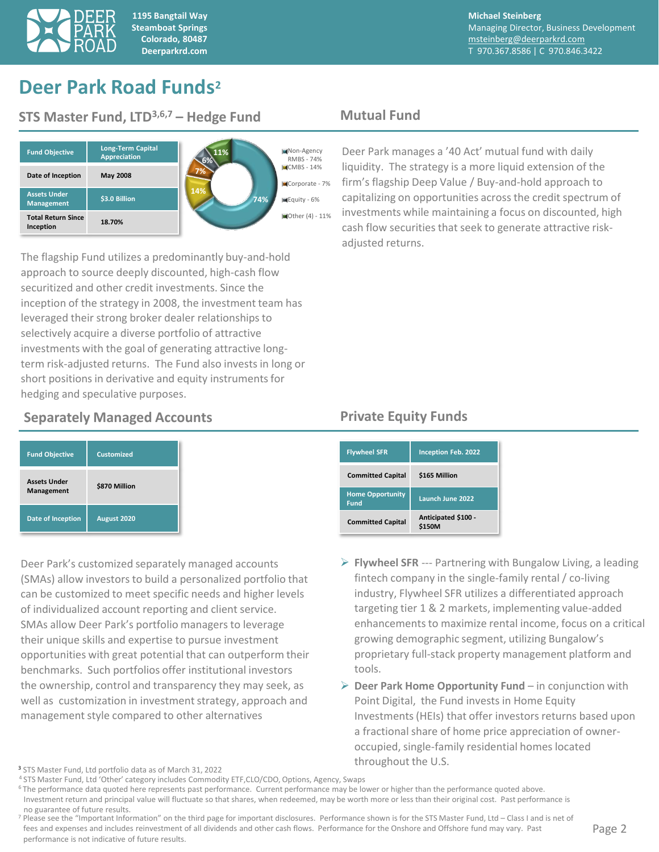

**1195 Bangtail Way Steamboat Springs Colorado, 80487 Deerparkrd.com**

**Michael Steinberg** Managing Director, Business Development [msteinberg@deerparkrd.com](mailto:msteinberg@deerparkrd.com) T 970.367.8586 | C 970.846.3422

## **Deer Park Road Funds<sup>2</sup>**

### **STS Master Fund, LTD3,6,7 – Hedge Fund Mutual Fund**



The flagship Fund utilizes a predominantly buy-and-hold approach to source deeply discounted, high-cash flow securitized and other credit investments. Since the inception of the strategy in 2008, the investment team has leveraged their strong broker dealer relationships to selectively acquire a diverse portfolio of attractive investments with the goal of generating attractive longterm risk-adjusted returns. The Fund also invests in long or short positions in derivative and equity instruments for hedging and speculative purposes.

### **Separately Managed Accounts Funds** Private Equity Funds

| <b>Fund Objective</b>             | <b>Customized</b> |
|-----------------------------------|-------------------|
| <b>Assets Under</b><br>Management | \$870 Million     |
| Date of Inception                 | August 2020       |

Deer Park's customized separately managed accounts (SMAs) allow investors to build a personalized portfolio that can be customized to meet specific needs and higher levels of individualized account reporting and client service. SMAs allow Deer Park's portfolio managers to leverage their unique skills and expertise to pursue investment opportunities with great potential that can outperform their benchmarks. Such portfolios offer institutional investors the ownership, control and transparency they may seek, as well as customization in investment strategy, approach and management style compared to other alternatives

Deer Park manages a '40 Act' mutual fund with daily liquidity. The strategy is a more liquid extension of the firm's flagship Deep Value / Buy-and-hold approach to capitalizing on opportunities across the credit spectrum of investments while maintaining a focus on discounted, high cash flow securities that seek to generate attractive riskadjusted returns.

| <b>Flywheel SFR</b>                    | <b>Inception Feb. 2022</b>    |
|----------------------------------------|-------------------------------|
| <b>Committed Capital</b>               | \$165 Million                 |
| <b>Home Opportunity</b><br><b>Fund</b> | Launch June 2022              |
| <b>Committed Capital</b>               | Anticipated \$100 -<br>\$150M |

- ➢ **Flywheel SFR** --- Partnering with Bungalow Living, a leading fintech company in the single-family rental / co-living industry, Flywheel SFR utilizes a differentiated approach targeting tier 1 & 2 markets, implementing value-added enhancements to maximize rental income, focus on a critical growing demographic segment, utilizing Bungalow's proprietary full-stack property management platform and tools.
- ➢ **Deer Park Home Opportunity Fund**  in conjunction with Point Digital, the Fund invests in Home Equity Investments (HEIs) that offer investors returns based upon a fractional share of home price appreciation of owneroccupied, single-family residential homes located throughout the U.S.

<sup>3</sup> STS Master Fund, Ltd portfolio data as of March 31, 2022

<sup>6</sup>The performance data quoted here represents past performance. Current performance may be lower or higher than the performance quoted above. Investment return and principal value will fluctuate so that shares, when redeemed, may be worth more or less than their original cost. Past performance is no guarantee of future results.

 $<sup>7</sup>$  Please see the "Important Information" on the third page for important disclosures. Performance shown is for the STS Master Fund, Ltd – Class I and is net of</sup> fees and expenses and includes reinvestment of all dividends and other cash flows. Performance for the Onshore and Offshore fund may vary. Past performance is not indicative of future results.

<sup>&</sup>lt;sup>4</sup> STS Master Fund, Ltd 'Other' category includes Commodity ETF,CLO/CDO, Options, Agency, Swaps